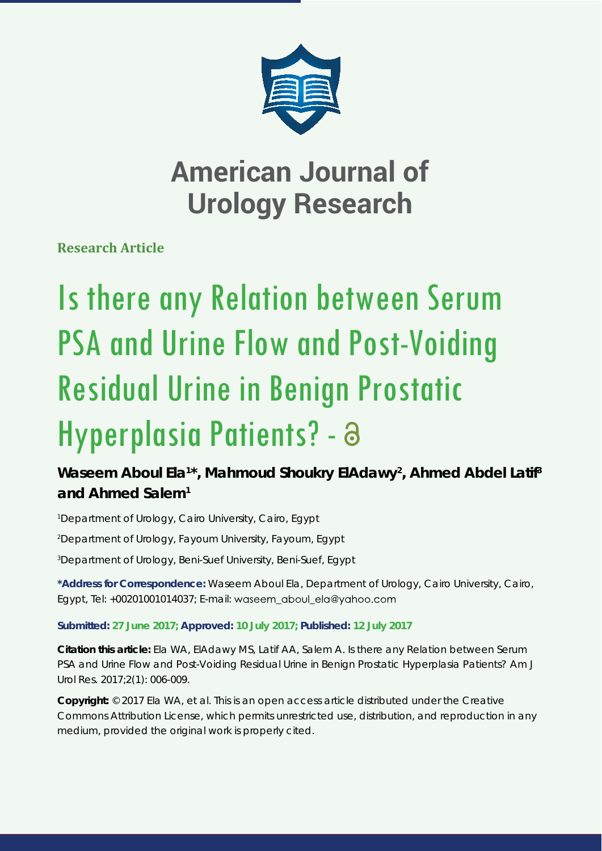

## **American Journal of Urology Research**

**Research Article**

# Is there any Relation between Serum PSA and Urine Flow and Post-Voiding Residual Urine in Benign Prostatic Hyperplasia Patients? - a

### Waseem Aboul Ela<sup>1\*</sup>, Mahmoud Shoukry ElAdawy<sup>2</sup>, Ahmed Abdel Latif<sup>3</sup> **and Ahmed Salem1**

*1 Department of Urology, Cairo University, Cairo, Egypt 2 Department of Urology, Fayoum University, Fayoum, Egypt 3 Department of Urology, Beni-Suef University, Beni-Suef, Egypt*

**\*Address for Correspondence:** Waseem Aboul Ela, Department of Urology, Cairo University, Cairo, Egypt, Tel: +00201001014037; E-mail: waseem\_aboul\_ela@yahoo.com

#### **Submitted: 27 June 2017; Approved: 10 July 2017; Published: 12 July 2017**

**Citation this article:** Ela WA, ElAdawy MS, Latif AA, Salem A. Is there any Relation between Serum PSA and Urine Flow and Post-Voiding Residual Urine in Benign Prostatic Hyperplasia Patients? Am J Urol Res. 2017;2(1): 006-009.

**Copyright:** © 2017 Ela WA, et al. This is an open access article distributed under the Creative Commons Attribution License, which permits unrestricted use, distribution, and reproduction in any medium, provided the original work is properly cited.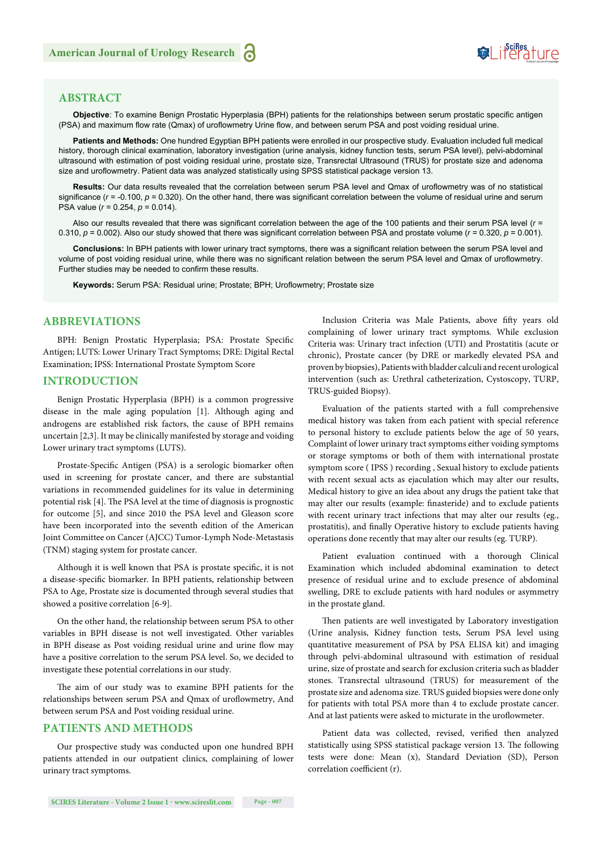## Suifes ture

#### **ABSTRACT**

Objective: To examine Benign Prostatic Hyperplasia (BPH) patients for the relationships between serum prostatic specific antigen (PSA) and maximum flow rate (Qmax) of uroflowmetry Urine flow, and between serum PSA and post voiding residual urine.

**Patients and Methods:** One hundred Egyptian BPH patients were enrolled in our prospective study. Evaluation included full medical history, thorough clinical examination, laboratory investigation (urine analysis, kidney function tests, serum PSA level), pelvi-abdominal ultrasound with estimation of post voiding residual urine, prostate size, Transrectal Ultrasound (TRUS) for prostate size and adenoma size and uroflowmetry. Patient data was analyzed statistically using SPSS statistical package version 13.

Results: Our data results revealed that the correlation between serum PSA level and Qmax of uroflowmetry was of no statistical significance ( $r = -0.100$ ,  $p = 0.320$ ). On the other hand, there was significant correlation between the volume of residual urine and serum PSA value (*r* = 0.254, *p* = 0.014).

Also our results revealed that there was significant correlation between the age of the 100 patients and their serum PSA level ( $r =$ 0.310,  $p = 0.002$ ). Also our study showed that there was significant correlation between PSA and prostate volume ( $r = 0.320$ ,  $p = 0.001$ ).

Conclusions: In BPH patients with lower urinary tract symptoms, there was a significant relation between the serum PSA level and volume of post voiding residual urine, while there was no significant relation between the serum PSA level and Qmax of uroflowmetry. Further studies may be needed to confirm these results.

Keywords: Serum PSA: Residual urine; Prostate; BPH; Uroflowmetry; Prostate size

#### **ABBREVIATIONS**

BPH: Benign Prostatic Hyperplasia; PSA: Prostate Specific Antigen; LUTS: Lower Urinary Tract Symptoms; DRE: Digital Rectal Examination; IPSS: International Prostate Symptom Score

#### **INTRODUCTION**

Benign Prostatic Hyperplasia (BPH) is a common progressive disease in the male aging populat*i*on [1]. Although aging and androgens are established risk factors, the cause of BPH remains uncertain [2,3]. It may be clinically manifested by storage and voiding Lower urinary tract symptoms (LUTS).

Prostate-Specific Antigen (PSA) is a serologic biomarker often used in screening for prostate cancer, and there are substantial variations in recommended guidelines for its value in determining potential risk [4]. The PSA level at the time of diagnosis is prognostic for outcome [5], and since 2010 the PSA level and Gleason score have been incorporated into the seventh edition of the American Joint Committee on Cancer (AJCC) Tumor-Lymph Node-Metastasis (TNM) staging system for prostate cancer.

Although it is well known that PSA is prostate specific, it is not a disease-specific biomarker. In BPH patients, relationship between PSA to Age, Prostate size is documented through several studies that showed a positive correlation [6-9].

On the other hand, the relationship between serum PSA to other variables in BPH disease is not well investigated. Other variables in BPH disease as Post voiding residual urine and urine flow may have a positive correlation to the serum PSA level. So, we decided to investigate these potential correlations in our study.

The aim of our study was to examine BPH patients for the relationships between serum PSA and Qmax of uroflowmetry, And between serum PSA and Post voiding residual urine.

#### **PATIENTS AND METHODS**

Our prospective study was conducted upon one hundred BPH patients attended in our outpatient clinics, complaining of lower urinary tract symptoms.

Inclusion Criteria was Male Patients, above fifty years old complaining of lower urinary tract symptoms. While exclusion Criteria was: Urinary tract infection (UTI) and Prostatitis (acute or chronic), Prostate cancer (by DRE or markedly elevated PSA and proven by biopsies), Patients with bladder calculi and recent urological intervention (such as: Urethral catheterization, Cystoscopy, TURP, TRUS-guided Biopsy).

Evaluation of the patients started with a full comprehensive medical history was taken from each patient with special reference to personal history to exclude patients below the age of 50 years, Complaint of lower urinary tract symptoms either voiding symptoms or storage symptoms or both of them with international prostate symptom score ( IPSS ) recording , Sexual history to exclude patients with recent sexual acts as ejaculation which may alter our results, Medical history to give an idea about any drugs the patient take that may alter our results (example: finasteride) and to exclude patients with recent urinary tract infections that may alter our results (eg., prostatitis), and finally Operative history to exclude patients having operations done recently that may alter our results (eg. TURP).

Patient evaluation continued with a thorough Clinical Examination which included abdominal examination to detect presence of residual urine and to exclude presence of abdominal swelling, DRE to exclude patients with hard nodules or asymmetry in the prostate gland.

Then patients are well investigated by Laboratory investigation (Urine analysis, Kidney function tests, Serum PSA level using quantitative measurement of PSA by PSA ELISA kit) and imaging through pelvi-abdominal ultrasound with estimation of residual urine, size of prostate and search for exclusion criteria such as bladder stones. Transrectal ultrasound (TRUS) for measurement of the prostate size and adenoma size. TRUS guided biopsies were done only for patients with total PSA more than 4 to exclude prostate cancer. And at last patients were asked to micturate in the uroflowmeter.

Patient data was collected, revised, verified then analyzed statistically using SPSS statistical package version 13. The following tests were done: Mean (x), Standard Deviation (SD), Person correlation coefficient (r).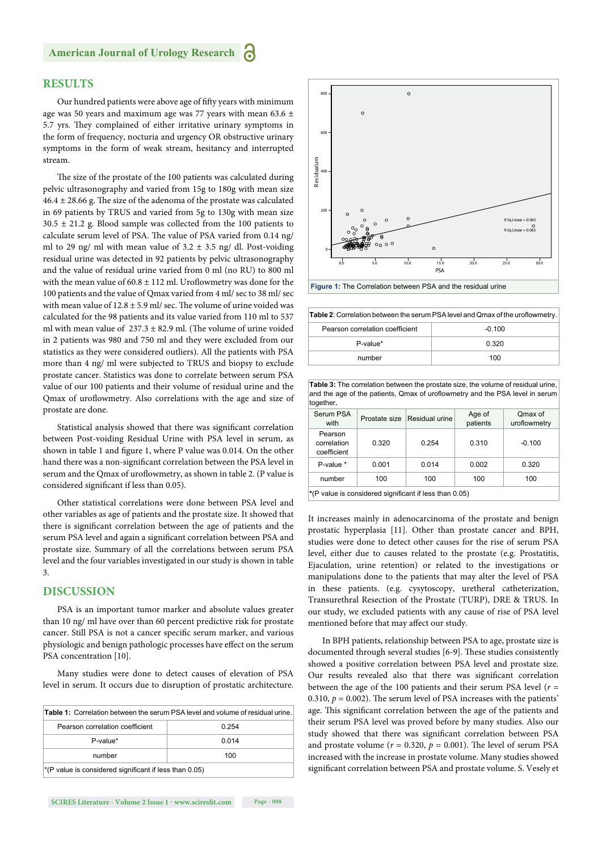#### **RESULTS**

Our hundred patients were above age of fifty years with minimum age was 50 years and maximum age was 77 years with mean 63.6 ± 5.7 yrs. They complained of either irritative urinary symptoms in the form of frequency, nocturia and urgency OR obstructive urinary symptoms in the form of weak stream, hesitancy and interrupted stream.

The size of the prostate of the 100 patients was calculated during pelvic ultrasonography and varied from 15g to 180g with mean size  $46.4 \pm 28.66$  g. The size of the adenoma of the prostate was calculated in 69 patients by TRUS and varied from 5g to 130g with mean size  $30.5 \pm 21.2$  g. Blood sample was collected from the 100 patients to calculate serum level of PSA. The value of PSA varied from 0.14 ng/ ml to 29 ng/ ml with mean value of  $3.2 \pm 3.5$  ng/ dl. Post-voiding residual urine was detected in 92 patients by pelvic ultrasonography and the value of residual urine varied from 0 ml (no RU) to 800 ml with the mean value of  $60.8 \pm 112$  ml. Uroflowmetry was done for the 100 patients and the value of Qmax varied from 4 ml/ sec to 38 ml/ sec with mean value of  $12.8 \pm 5.9$  ml/ sec. The volume of urine voided was calculated for the 98 patients and its value varied from 110 ml to 537 ml with mean value of  $237.3 \pm 82.9$  ml. (The volume of urine voided in 2 patients was 980 and 750 ml and they were excluded from our statistics as they were considered outliers). All the patients with PSA more than 4 ng/ ml were subjected to TRUS and biopsy to exclude prostate cancer. Statistics was done to correlate between serum PSA value of our 100 patients and their volume of residual urine and the Qmax of uroflowmetry. Also correlations with the age and size of prostate are done.

Statistical analysis showed that there was significant correlation between Post-voiding Residual Urine with PSA level in serum, as shown in table 1 and figure 1, where P value was 0.014. On the other hand there was a non-significant correlation between the PSA level in serum and the Qmax of uroflowmetry, as shown in table 2. (P value is considered significant if less than 0.05).

Other statistical correlations were done between PSA level and other variables as age of patients and the prostate size. It showed that there is significant correlation between the age of patients and the serum PSA level and again a significant correlation between PSA and prostate size. Summary of all the correlations between serum PSA level and the four variables investigated in our study is shown in table 3.

#### **DISCUSSION**

PSA is an important tumor marker and absolute values greater than 10 ng/ ml have over than 60 percent predictive risk for prostate cancer. Still PSA is not a cancer specific serum marker, and various physiologic and benign pathologic processes have effect on the serum PSA concentration [10].

Many studies were done to detect causes of elevation of PSA level in serum. It occurs due to disruption of prostatic architecture.

| Table 1: Correlation between the serum PSA level and volume of residual urine. |       |  |  |
|--------------------------------------------------------------------------------|-------|--|--|
| Pearson correlation coefficient                                                | 0.254 |  |  |
| P-value*                                                                       | 0.014 |  |  |
| number                                                                         | 100   |  |  |
| $^*$ (P value is considered significant if less than 0.05)                     |       |  |  |



**Figure 1:** The Correlation between PSA and the residual urine

Table 2: Correlation between the serum PSA level and Qmax of the uroflowmetry.

| Pearson correlation coefficient | $-0.100$ |
|---------------------------------|----------|
| P-value*                        | 0.320    |
| number                          | 100      |

**Table 3:** The correlation between the prostate size, the volume of residual urine, and the age of the patients, Qmax of uroflowmetry and the PSA level in serum together**.**

| Serum PSA<br>with                                      |       | Prostate size Residual urine | Age of<br>patients | Qmax of<br>uroflowmetry |  |
|--------------------------------------------------------|-------|------------------------------|--------------------|-------------------------|--|
| Pearson<br>correlation<br>coefficient                  | 0.320 | 0.254                        | 0.310              | $-0.100$                |  |
| P-value *                                              | 0.001 | 0.014                        | 0.002              | 0.320                   |  |
| number                                                 | 100   | 100                          | 100                | 100                     |  |
| *(P value is considered significant if less than 0.05) |       |                              |                    |                         |  |

It increases mainly in adenocarcinoma of the prostate and benign prostatic hyperplasia [11]. Other than prostate cancer and BPH, studies were done to detect other causes for the rise of serum PSA level, either due to causes related to the prostate (e.g. Prostatitis, Ejaculation, urine retention) or related to the investigations or manipulations done to the patients that may alter the level of PSA in these patients. (e.g. cysytoscopy, uretheral catheterization, Transurethral Resection of the Prostate (TURP), DRE & TRUS. In our study, we excluded patients with any cause of rise of PSA level mentioned before that may affect our study.

In BPH patients, relationship between PSA to age, prostate size is documented through several studies [6-9]. These studies consistently showed a positive correlation between PSA level and prostate size. Our results revealed also that there was significant correlation between the age of the 100 patients and their serum PSA level  $(r =$ 0.310,  $p = 0.002$ ). The serum level of PSA increases with the patients' age. This significant correlation between the age of the patients and their serum PSA level was proved before by many studies. Also our study showed that there was significant correlation between PSA and prostate volume ( $r = 0.320$ ,  $p = 0.001$ ). The level of serum PSA increased with the increase in prostate volume. Many studies showed significant correlation between PSA and prostate volume. S. Vesely et